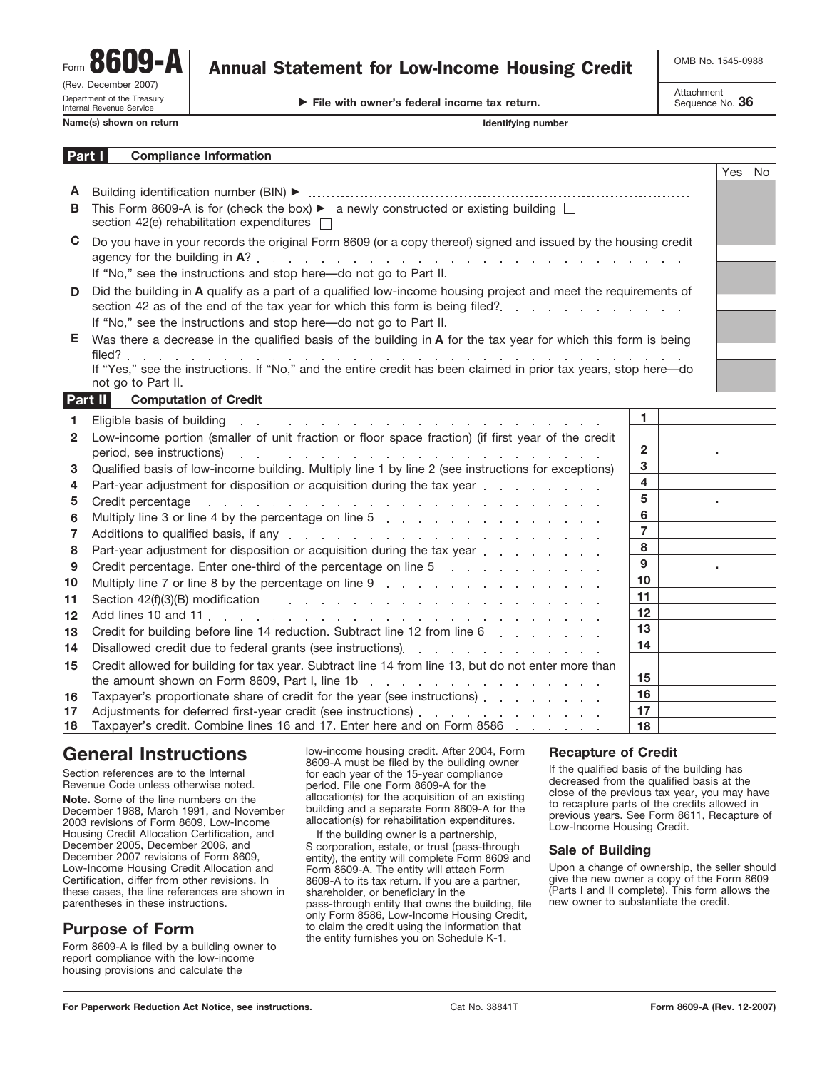Form (Rev. December 2007)<br>
Department of the Treasury<br> **Department Of the Treasury Department Department Of the Treasury Department Of the Treasury Department of the Tre** Internal Revenue Service **Name(s)** shown on return 8609-A

# Annual Statement for Low-Income Housing Credit | OMB No. 1545-0988

Attachment<br>Sequence No. **36** 

| ∣ Part I | <b>Compliance Information</b> |  |
|----------|-------------------------------|--|

| Identifying number |
|--------------------|
|--------------------|

|              |                                                                                                                                                                                                                                                                                                                                     |                 | Yes | <b>No</b> |
|--------------|-------------------------------------------------------------------------------------------------------------------------------------------------------------------------------------------------------------------------------------------------------------------------------------------------------------------------------------|-----------------|-----|-----------|
| A            |                                                                                                                                                                                                                                                                                                                                     |                 |     |           |
| B            | This Form 8609-A is for (check the box) $\blacktriangleright$ a newly constructed or existing building $\Box$<br>section 42(e) rehabilitation expenditures $\square$                                                                                                                                                                |                 |     |           |
| C            | Do you have in your records the original Form 8609 (or a copy thereof) signed and issued by the housing credit                                                                                                                                                                                                                      |                 |     |           |
|              | If "No," see the instructions and stop here—do not go to Part II.                                                                                                                                                                                                                                                                   |                 |     |           |
| D            | Did the building in A qualify as a part of a qualified low-income housing project and meet the requirements of                                                                                                                                                                                                                      |                 |     |           |
|              | section 42 as of the end of the tax year for which this form is being filed?                                                                                                                                                                                                                                                        |                 |     |           |
|              | If "No," see the instructions and stop here-do not go to Part II.                                                                                                                                                                                                                                                                   |                 |     |           |
| Е            | Was there a decrease in the qualified basis of the building in A for the tax year for which this form is being                                                                                                                                                                                                                      |                 |     |           |
|              | filed?<br>the second contract of the contract of the contract of the contract of the contract of the contract of the contract of the contract of the contract of the contract of the contract of the contract of the contract of the con                                                                                            |                 |     |           |
|              | If "Yes," see the instructions. If "No," and the entire credit has been claimed in prior tax years, stop here-do<br>not go to Part II.                                                                                                                                                                                              |                 |     |           |
|              | Part II<br><b>Computation of Credit</b>                                                                                                                                                                                                                                                                                             |                 |     |           |
|              | Eligible basis of building<br>the contract of the contract of the contract of the contract of the contract of the                                                                                                                                                                                                                   | 1.              |     |           |
| $\mathbf{2}$ | Low-income portion (smaller of unit fraction or floor space fraction) (if first year of the credit<br>period, see instructions) entries and a series of the series of the series of the series of the series of the series of the series of the series of the series of the series of the series of the series of the series of the | $\mathbf{2}$    |     |           |
| 3            | Qualified basis of low-income building. Multiply line 1 by line 2 (see instructions for exceptions)                                                                                                                                                                                                                                 | 3               |     |           |
| 4            | Part-year adjustment for disposition or acquisition during the tax year entitled and results of the case of the                                                                                                                                                                                                                     | 4               |     |           |
| 5            | Credit percentage<br>a construction of the construction of the construction of the construction of the construction of the construction                                                                                                                                                                                             | 5               |     |           |
| 6            |                                                                                                                                                                                                                                                                                                                                     | 6               |     |           |
| 7            | Additions to qualified basis, if any referred to referred the contract of the contract of the contract of the contract of the contract of the contract of the contract of the contract of the contract of the contract of the                                                                                                       | $\overline{7}$  |     |           |
| 8            | Part-year adjustment for disposition or acquisition during the tax year entity and an analysis of Party and Party and Party and Party and Party and Party and Party and Party and Party and Party and Party and Party and Part                                                                                                      | 8               |     |           |
| 9            | Credit percentage. Enter one-third of the percentage on line 5 and a controller control of the percentage on line 5                                                                                                                                                                                                                 | 9               |     |           |
| - ה          | $M_{\rm H}$ the state of $Z$ or line $9$ by the persenters on line $0$                                                                                                                                                                                                                                                              | 10 <sup>1</sup> |     |           |

|    |                                                                                                                                                                                                                                  | 10              |  |
|----|----------------------------------------------------------------------------------------------------------------------------------------------------------------------------------------------------------------------------------|-----------------|--|
|    | 11 Section $42(f)(3)(B)$ modification enterpretation enterpretation enterpretation enterpretation enterpretation enterpretation enterpretation enterpretation enterpretation enterpretation enterpretation enterpretation enterp | 11              |  |
|    |                                                                                                                                                                                                                                  | 12 <sup>2</sup> |  |
|    | 13 Credit for building before line 14 reduction. Subtract line 12 from line 6                                                                                                                                                    | 13              |  |
|    |                                                                                                                                                                                                                                  | 14              |  |
|    | 15 Credit allowed for building for tax year. Subtract line 14 from line 13, but do not enter more than                                                                                                                           | 15              |  |
|    | 16 Taxpayer's proportionate share of credit for the year (see instructions) enterprise and a set of the Taxpayer's proportionate share of credit for the year (see instructions)                                                 | 16              |  |
| 17 |                                                                                                                                                                                                                                  | 17              |  |
|    | 18 Taxpayer's credit. Combine lines 16 and 17. Enter here and on Form 8586                                                                                                                                                       | 18              |  |

Taxpayer's credit. Combine lines 16 and 17. Enter here and on Form 8586 **18**

# **General Instructions**

Section references are to the Internal Revenue Code unless otherwise noted.

**Note.** Some of the line numbers on the December 1988, March 1991, and November 2003 revisions of Form 8609, Low-Income Housing Credit Allocation Certification, and December 2005, December 2006, and December 2007 revisions of Form 8609, Low-Income Housing Credit Allocation and Certification, differ from other revisions. In these cases, the line references are shown in parentheses in these instructions.

## **Purpose of Form**

Form 8609-A is filed by a building owner to report compliance with the low-income housing provisions and calculate the

low-income housing credit. After 2004, Form 8609-A must be filed by the building owner for each year of the 15-year compliance period. File one Form 8609-A for the allocation(s) for the acquisition of an existing building and a separate Form 8609-A for the allocation(s) for rehabilitation expenditures.

If the building owner is a partnership, S corporation, estate, or trust (pass-through entity), the entity will complete Form 8609 and Form 8609-A. The entity will attach Form 8609-A to its tax return. If you are a partner, shareholder, or beneficiary in the pass-through entity that owns the building, file only Form 8586, Low-Income Housing Credit, to claim the credit using the information that the entity furnishes you on Schedule K-1.

## **Recapture of Credit**

If the qualified basis of the building has decreased from the qualified basis at the close of the previous tax year, you may have to recapture parts of the credits allowed in previous years. See Form 8611, Recapture of Low-Income Housing Credit.

### **Sale of Building**

Upon a change of ownership, the seller should give the new owner a copy of the Form 8609 (Parts I and II complete). This form allows the new owner to substantiate the credit.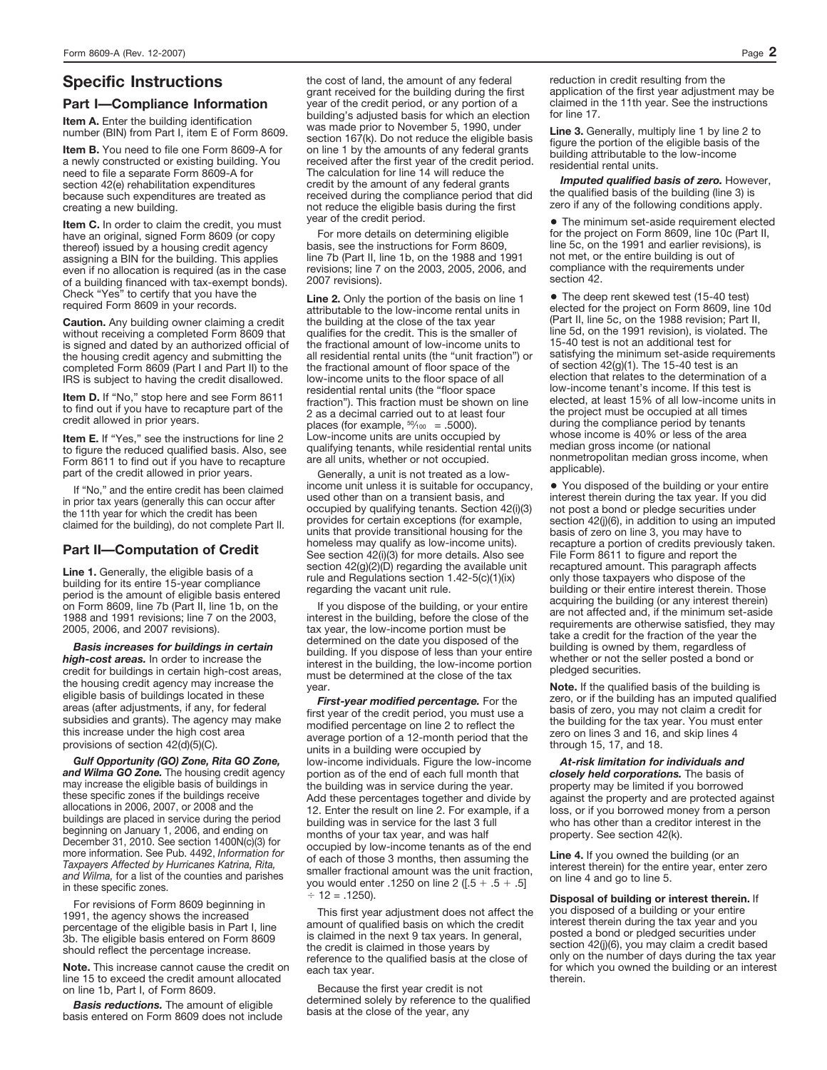## **Specific Instructions**

#### **Part I—Compliance Information**

**Item A.** Enter the building identification number (BIN) from Part I, item E of Form 8609.

**Item B.** You need to file one Form 8609-A for a newly constructed or existing building. You need to file a separate Form 8609-A for section 42(e) rehabilitation expenditures because such expenditures are treated as creating a new building.

**Item C.** In order to claim the credit, you must have an original, signed Form 8609 (or copy thereof) issued by a housing credit agency assigning a BIN for the building. This applies even if no allocation is required (as in the case of a building financed with tax-exempt bonds). Check "Yes" to certify that you have the required Form 8609 in your records.

**Caution.** Any building owner claiming a credit without receiving a completed Form 8609 that is signed and dated by an authorized official of the housing credit agency and submitting the completed Form 8609 (Part I and Part II) to the IRS is subject to having the credit disallowed.

**Item D.** If "No," stop here and see Form 8611 to find out if you have to recapture part of the credit allowed in prior years.

**Item E.** If "Yes," see the instructions for line 2 to figure the reduced qualified basis. Also, see Form 8611 to find out if you have to recapture part of the credit allowed in prior years.

If "No," and the entire credit has been claimed in prior tax years (generally this can occur after the 11th year for which the credit has been claimed for the building), do not complete Part II.

### **Part II—Computation of Credit**

**Line 1.** Generally, the eligible basis of a building for its entire 15-year compliance period is the amount of eligible basis entered on Form 8609, line 7b (Part II, line 1b, on the 1988 and 1991 revisions; line 7 on the 2003, 2005, 2006, and 2007 revisions).

*Basis increases for buildings in certain high-cost areas.* In order to increase the credit for buildings in certain high-cost areas, the housing credit agency may increase the eligible basis of buildings located in these areas (after adjustments, if any, for federal subsidies and grants). The agency may make this increase under the high cost area provisions of section 42(d)(5)(C).

*Gulf Opportunity (GO) Zone, Rita GO Zone, and Wilma GO Zone.* The housing credit agency may increase the eligible basis of buildings in these specific zones if the buildings receive allocations in 2006, 2007, or 2008 and the buildings are placed in service during the period beginning on January 1, 2006, and ending on December 31, 2010. See section 1400N(c)(3) for more information. See Pub. 4492, *Information for Taxpayers Affected by Hurricanes Katrina, Rita, and Wilma,* for a list of the counties and parishes in these specific zones.

For revisions of Form 8609 beginning in 1991, the agency shows the increased percentage of the eligible basis in Part I, line 3b. The eligible basis entered on Form 8609 should reflect the percentage increase.

**Note.** This increase cannot cause the credit on line 15 to exceed the credit amount allocated on line 1b, Part I, of Form 8609.

*Basis reductions.* The amount of eligible basis entered on Form 8609 does not include the cost of land, the amount of any federal grant received for the building during the first year of the credit period, or any portion of a building's adjusted basis for which an election was made prior to November 5, 1990, under section 167(k). Do not reduce the eligible basis on line 1 by the amounts of any federal grants received after the first year of the credit period. The calculation for line 14 will reduce the credit by the amount of any federal grants received during the compliance period that did not reduce the eligible basis during the first year of the credit period.

For more details on determining eligible basis, see the instructions for Form 8609, line 7b (Part II, line 1b, on the 1988 and 1991 revisions; line 7 on the 2003, 2005, 2006, and 2007 revisions).

**Line 2.** Only the portion of the basis on line 1 attributable to the low-income rental units in the building at the close of the tax year qualifies for the credit. This is the smaller of the fractional amount of low-income units to all residential rental units (the "unit fraction") or the fractional amount of floor space of the low-income units to the floor space of all residential rental units (the "floor space fraction"). This fraction must be shown on line 2 as a decimal carried out to at least four places (for example,  $50/100 = .5000$ ). Low-income units are units occupied by qualifying tenants, while residential rental units are all units, whether or not occupied.

Generally, a unit is not treated as a lowincome unit unless it is suitable for occupancy, used other than on a transient basis, and occupied by qualifying tenants. Section 42(i)(3) provides for certain exceptions (for example, units that provide transitional housing for the homeless may qualify as low-income units). See section 42(i)(3) for more details. Also see section  $42(g)(2)(D)$  regarding the available unit rule and Regulations section 1.42-5(c)(1)(ix) regarding the vacant unit rule.

If you dispose of the building, or your entire interest in the building, before the close of the tax year, the low-income portion must be determined on the date you disposed of the building. If you dispose of less than your entire interest in the building, the low-income portion must be determined at the close of the tax year. **Note.** If the qualified basis of the building is

*First-year modified percentage.* For the first year of the credit period, you must use a modified percentage on line 2 to reflect the average portion of a 12-month period that the units in a building were occupied by low-income individuals. Figure the low-income portion as of the end of each full month that the building was in service during the year. Add these percentages together and divide by 12. Enter the result on line 2. For example, if a building was in service for the last 3 full months of your tax year, and was half occupied by low-income tenants as of the end of each of those 3 months, then assuming the smaller fractional amount was the unit fraction, you would enter .1250 on line 2 ( $[.5 + .5 + .5]$  $\div$  12 = .1250).

This first year adjustment does not affect the amount of qualified basis on which the credit is claimed in the next 9 tax years. In general, the credit is claimed in those years by reference to the qualified basis at the close of each tax year.

Because the first year credit is not determined solely by reference to the qualified basis at the close of the year, any

reduction in credit resulting from the application of the first year adjustment may be claimed in the 11th year. See the instructions for line 17.

Line 3. Generally, multiply line 1 by line 2 to figure the portion of the eligible basis of the building attributable to the low-income residential rental units.

*Imputed qualified basis of zero.* However, the qualified basis of the building (line 3) is zero if any of the following conditions apply.

● The minimum set-aside requirement elected for the project on Form 8609, line 10c (Part II, line 5c, on the 1991 and earlier revisions), is not met, or the entire building is out of compliance with the requirements under section 42.

● The deep rent skewed test (15-40 test) elected for the project on Form 8609, line 10d (Part II, line 5c, on the 1988 revision; Part II, line 5d, on the 1991 revision), is violated. The 15-40 test is not an additional test for satisfying the minimum set-aside requirements of section 42(g)(1). The 15-40 test is an election that relates to the determination of a low-income tenant's income. If this test is elected, at least 15% of all low-income units in the project must be occupied at all times during the compliance period by tenants whose income is 40% or less of the area median gross income (or national nonmetropolitan median gross income, when applicable).

● You disposed of the building or your entire interest therein during the tax year. If you did not post a bond or pledge securities under section 42(j)(6), in addition to using an imputed basis of zero on line 3, you may have to recapture a portion of credits previously taken. File Form 8611 to figure and report the recaptured amount. This paragraph affects only those taxpayers who dispose of the building or their entire interest therein. Those acquiring the building (or any interest therein) are not affected and, if the minimum set-aside requirements are otherwise satisfied, they may take a credit for the fraction of the year the building is owned by them, regardless of whether or not the seller posted a bond or pledged securities.

zero, or if the building has an imputed qualified basis of zero, you may not claim a credit for the building for the tax year. You must enter zero on lines 3 and 16, and skip lines 4 through 15, 17, and 18.

*At-risk limitation for individuals and closely held corporations.* The basis of property may be limited if you borrowed against the property and are protected against loss, or if you borrowed money from a person who has other than a creditor interest in the property. See section 42(k).

**Line 4.** If you owned the building (or an interest therein) for the entire year, enter zero on line 4 and go to line 5.

**Disposal of building or interest therein.** If you disposed of a building or your entire interest therein during the tax year and you posted a bond or pledged securities under section 42(j)(6), you may claim a credit based only on the number of days during the tax year for which you owned the building or an interest therein.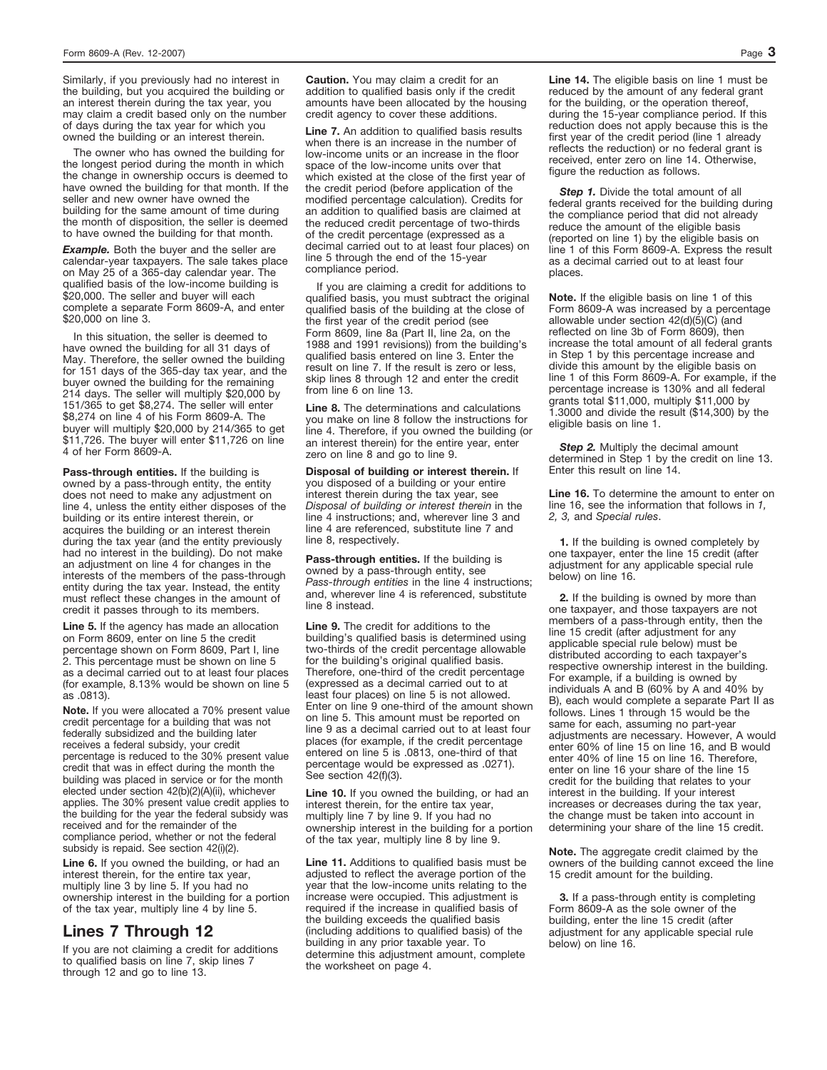Similarly, if you previously had no interest in the building, but you acquired the building or an interest therein during the tax year, you may claim a credit based only on the number of days during the tax year for which you owned the building or an interest therein.

The owner who has owned the building for the longest period during the month in which the change in ownership occurs is deemed to have owned the building for that month. If the seller and new owner have owned the building for the same amount of time during the month of disposition, the seller is deemed to have owned the building for that month.

**Example.** Both the buyer and the seller are calendar-year taxpayers. The sale takes place on May 25 of a 365-day calendar year. The qualified basis of the low-income building is \$20,000. The seller and buyer will each complete a separate Form 8609-A, and enter \$20,000 on line 3.

In this situation, the seller is deemed to have owned the building for all 31 days of May. Therefore, the seller owned the building for 151 days of the 365-day tax year, and the buyer owned the building for the remaining 214 days. The seller will multiply \$20,000 by 151/365 to get \$8,274. The seller will enter \$8,274 on line 4 of his Form 8609-A. The buyer will multiply \$20,000 by 214/365 to get \$11,726. The buyer will enter \$11,726 on line 4 of her Form 8609-A.

**Pass-through entities.** If the building is owned by a pass-through entity, the entity does not need to make any adjustment on line 4, unless the entity either disposes of the building or its entire interest therein, or acquires the building or an interest therein during the tax year (and the entity previously had no interest in the building). Do not make an adjustment on line 4 for changes in the interests of the members of the pass-through entity during the tax year. Instead, the entity must reflect these changes in the amount of credit it passes through to its members.

**Line 5.** If the agency has made an allocation on Form 8609, enter on line 5 the credit percentage shown on Form 8609, Part I, line 2. This percentage must be shown on line 5 as a decimal carried out to at least four places (for example, 8.13% would be shown on line 5 as .0813).

**Note.** If you were allocated a 70% present value credit percentage for a building that was not federally subsidized and the building later receives a federal subsidy, your credit percentage is reduced to the 30% present value credit that was in effect during the month the building was placed in service or for the month elected under section 42(b)(2)(A)(ii), whichever applies. The 30% present value credit applies to the building for the year the federal subsidy was received and for the remainder of the compliance period, whether or not the federal subsidy is repaid. See section 42(i)(2).

**Line 6.** If you owned the building, or had an interest therein, for the entire tax year, multiply line 3 by line 5. If you had no ownership interest in the building for a portion of the tax year, multiply line 4 by line 5.

### **Lines 7 Through 12**

If you are not claiming a credit for additions to qualified basis on line 7, skip lines 7 through 12 and go to line 13.

**Caution.** You may claim a credit for an addition to qualified basis only if the credit amounts have been allocated by the housing credit agency to cover these additions.

**Line 7.** An addition to qualified basis results when there is an increase in the number of low-income units or an increase in the floor space of the low-income units over that which existed at the close of the first year of the credit period (before application of the modified percentage calculation). Credits for an addition to qualified basis are claimed at the reduced credit percentage of two-thirds of the credit percentage (expressed as a decimal carried out to at least four places) on line 5 through the end of the 15-year compliance period.

If you are claiming a credit for additions to qualified basis, you must subtract the original qualified basis of the building at the close of the first year of the credit period (see Form 8609, line 8a (Part II, line 2a, on the 1988 and 1991 revisions)) from the building's qualified basis entered on line 3. Enter the result on line 7. If the result is zero or less, skip lines 8 through 12 and enter the credit from line 6 on line 13.

**Line 8.** The determinations and calculations you make on line 8 follow the instructions for line 4. Therefore, if you owned the building (or an interest therein) for the entire year, enter zero on line 8 and go to line 9.

**Disposal of building or interest therein.** If you disposed of a building or your entire interest therein during the tax year, see *Disposal of building or interest therein* in the line 4 instructions; and, wherever line 3 and line 4 are referenced, substitute line 7 and line 8, respectively.

**Pass-through entities.** If the building is owned by a pass-through entity, see *Pass-through entities* in the line 4 instructions; and, wherever line 4 is referenced, substitute line 8 instead.

**Line 9.** The credit for additions to the building's qualified basis is determined using two-thirds of the credit percentage allowable for the building's original qualified basis. Therefore, one-third of the credit percentage (expressed as a decimal carried out to at least four places) on line 5 is not allowed. Enter on line 9 one-third of the amount shown on line 5. This amount must be reported on line 9 as a decimal carried out to at least four places (for example, if the credit percentage entered on line 5 is .0813, one-third of that percentage would be expressed as .0271). See section 42(f)(3).

**Line 10.** If you owned the building, or had an interest therein, for the entire tax year, multiply line 7 by line 9. If you had no ownership interest in the building for a portion of the tax year, multiply line 8 by line 9.

**Line 11.** Additions to qualified basis must be adjusted to reflect the average portion of the year that the low-income units relating to the increase were occupied. This adjustment is required if the increase in qualified basis of the building exceeds the qualified basis (including additions to qualified basis) of the building in any prior taxable year. To determine this adjustment amount, complete the worksheet on page 4.

**Line 14.** The eligible basis on line 1 must be reduced by the amount of any federal grant for the building, or the operation thereof, during the 15-year compliance period. If this reduction does not apply because this is the first year of the credit period (line 1 already reflects the reduction) or no federal grant is received, enter zero on line 14. Otherwise, figure the reduction as follows.

**Step 1.** Divide the total amount of all federal grants received for the building during the compliance period that did not already reduce the amount of the eligible basis (reported on line 1) by the eligible basis on line 1 of this Form 8609-A. Express the result as a decimal carried out to at least four places.

**Note.** If the eligible basis on line 1 of this Form 8609-A was increased by a percentage allowable under section 42(d)(5)(C) (and reflected on line 3b of Form 8609), then increase the total amount of all federal grants in Step 1 by this percentage increase and divide this amount by the eligible basis on line 1 of this Form 8609-A. For example, if the percentage increase is 130% and all federal grants total \$11,000, multiply \$11,000 by 1.3000 and divide the result (\$14,300) by the eligible basis on line 1.

**Step 2.** Multiply the decimal amount determined in Step 1 by the credit on line 13. Enter this result on line 14.

**Line 16.** To determine the amount to enter on line 16, see the information that follows in *1, 2, 3,* and *Special rules*.

**1.** If the building is owned completely by one taxpayer, enter the line 15 credit (after adjustment for any applicable special rule below) on line 16.

**2.** If the building is owned by more than one taxpayer, and those taxpayers are not members of a pass-through entity, then the line 15 credit (after adjustment for any applicable special rule below) must be distributed according to each taxpayer's respective ownership interest in the building. For example, if a building is owned by individuals A and B (60% by A and 40% by B), each would complete a separate Part II as follows. Lines 1 through 15 would be the same for each, assuming no part-year adjustments are necessary. However, A would enter 60% of line 15 on line 16, and B would enter 40% of line 15 on line 16. Therefore, enter on line 16 your share of the line 15 credit for the building that relates to your interest in the building. If your interest increases or decreases during the tax year, the change must be taken into account in determining your share of the line 15 credit.

**Note.** The aggregate credit claimed by the owners of the building cannot exceed the line 15 credit amount for the building.

**3.** If a pass-through entity is completing Form 8609-A as the sole owner of the building, enter the line 15 credit (after adjustment for any applicable special rule below) on line 16.